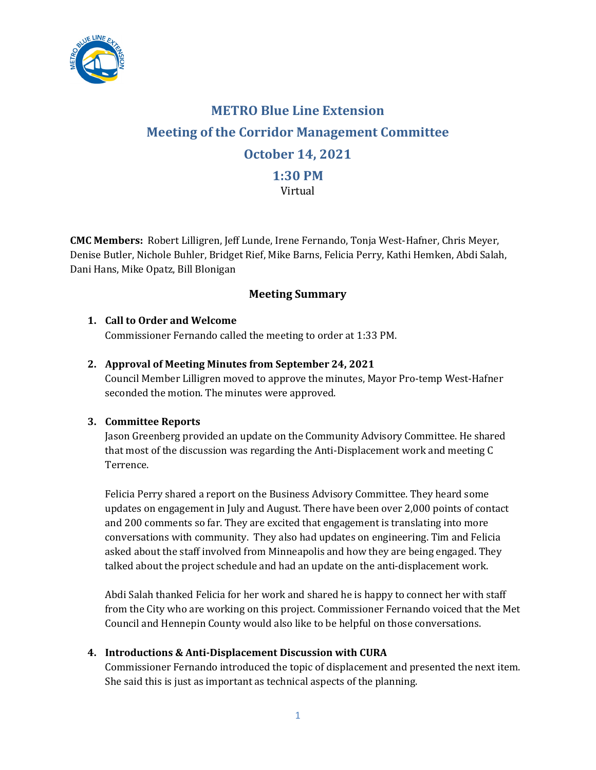

# **METRO Blue Line Extension Meeting of the Corridor Management Committee October 14, 2021 1:30 PM** Virtual

**CMC Members:** Robert Lilligren, Jeff Lunde, Irene Fernando, Tonja West-Hafner, Chris Meyer, Denise Butler, Nichole Buhler, Bridget Rief, Mike Barns, Felicia Perry, Kathi Hemken, Abdi Salah, Dani Hans, Mike Opatz, Bill Blonigan

# **Meeting Summary**

# **1. Call to Order and Welcome**

Commissioner Fernando called the meeting to order at 1:33 PM.

### **2. Approval of Meeting Minutes from September 24, 2021**

Council Member Lilligren moved to approve the minutes, Mayor Pro-temp West-Hafner seconded the motion. The minutes were approved.

### **3. Committee Reports**

Jason Greenberg provided an update on the Community Advisory Committee. He shared that most of the discussion was regarding the Anti-Displacement work and meeting C Terrence.

Felicia Perry shared a report on the Business Advisory Committee. They heard some updates on engagement in July and August. There have been over 2,000 points of contact and 200 comments so far. They are excited that engagement is translating into more conversations with community. They also had updates on engineering. Tim and Felicia asked about the staff involved from Minneapolis and how they are being engaged. They talked about the project schedule and had an update on the anti-displacement work.

Abdi Salah thanked Felicia for her work and shared he is happy to connect her with staff from the City who are working on this project. Commissioner Fernando voiced that the Met Council and Hennepin County would also like to be helpful on those conversations.

# **4. Introductions & Anti-Displacement Discussion with CURA**

Commissioner Fernando introduced the topic of displacement and presented the next item. She said this is just as important as technical aspects of the planning.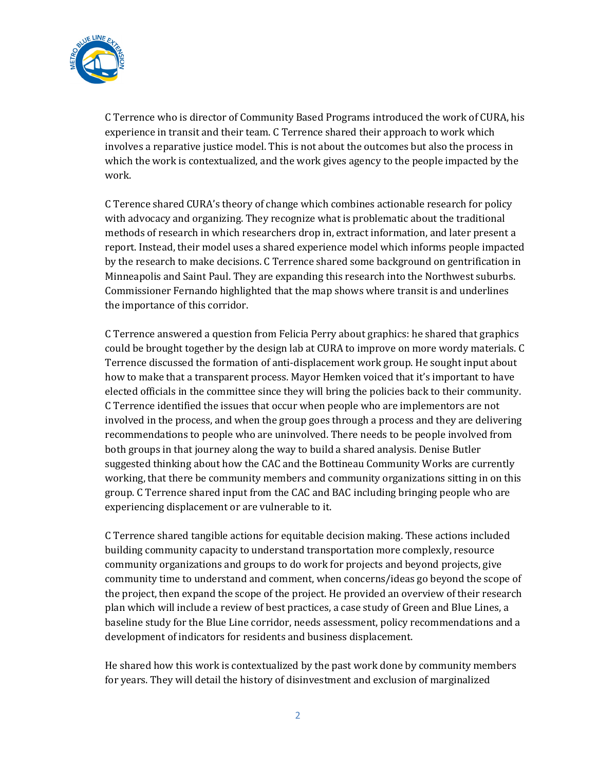

C Terrence who is director of Community Based Programs introduced the work of CURA, his experience in transit and their team. C Terrence shared their approach to work which involves a reparative justice model. This is not about the outcomes but also the process in which the work is contextualized, and the work gives agency to the people impacted by the work.

C Terence shared CURA's theory of change which combines actionable research for policy with advocacy and organizing. They recognize what is problematic about the traditional methods of research in which researchers drop in, extract information, and later present a report. Instead, their model uses a shared experience model which informs people impacted by the research to make decisions. C Terrence shared some background on gentrification in Minneapolis and Saint Paul. They are expanding this research into the Northwest suburbs. Commissioner Fernando highlighted that the map shows where transit is and underlines the importance of this corridor.

C Terrence answered a question from Felicia Perry about graphics: he shared that graphics could be brought together by the design lab at CURA to improve on more wordy materials. C Terrence discussed the formation of anti-displacement work group. He sought input about how to make that a transparent process. Mayor Hemken voiced that it's important to have elected officials in the committee since they will bring the policies back to their community. C Terrence identified the issues that occur when people who are implementors are not involved in the process, and when the group goes through a process and they are delivering recommendations to people who are uninvolved. There needs to be people involved from both groups in that journey along the way to build a shared analysis. Denise Butler suggested thinking about how the CAC and the Bottineau Community Works are currently working, that there be community members and community organizations sitting in on this group. C Terrence shared input from the CAC and BAC including bringing people who are experiencing displacement or are vulnerable to it.

C Terrence shared tangible actions for equitable decision making. These actions included building community capacity to understand transportation more complexly, resource community organizations and groups to do work for projects and beyond projects, give community time to understand and comment, when concerns/ideas go beyond the scope of the project, then expand the scope of the project. He provided an overview of their research plan which will include a review of best practices, a case study of Green and Blue Lines, a baseline study for the Blue Line corridor, needs assessment, policy recommendations and a development of indicators for residents and business displacement.

He shared how this work is contextualized by the past work done by community members for years. They will detail the history of disinvestment and exclusion of marginalized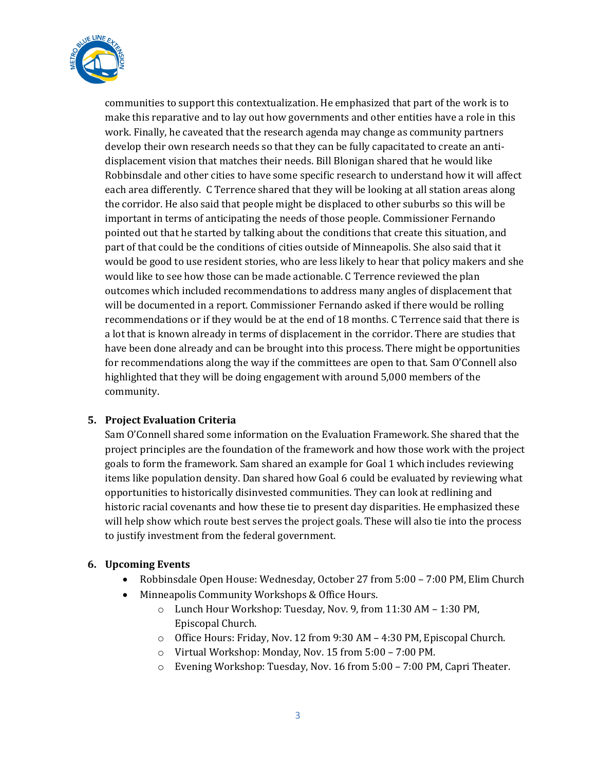

communities to support this contextualization. He emphasized that part of the work is to make this reparative and to lay out how governments and other entities have a role in this work. Finally, he caveated that the research agenda may change as community partners develop their own research needs so that they can be fully capacitated to create an antidisplacement vision that matches their needs. Bill Blonigan shared that he would like Robbinsdale and other cities to have some specific research to understand how it will affect each area differently. C Terrence shared that they will be looking at all station areas along the corridor. He also said that people might be displaced to other suburbs so this will be important in terms of anticipating the needs of those people. Commissioner Fernando pointed out that he started by talking about the conditions that create this situation, and part of that could be the conditions of cities outside of Minneapolis. She also said that it would be good to use resident stories, who are less likely to hear that policy makers and she would like to see how those can be made actionable. C Terrence reviewed the plan outcomes which included recommendations to address many angles of displacement that will be documented in a report. Commissioner Fernando asked if there would be rolling recommendations or if they would be at the end of 18 months. C Terrence said that there is a lot that is known already in terms of displacement in the corridor. There are studies that have been done already and can be brought into this process. There might be opportunities for recommendations along the way if the committees are open to that. Sam O'Connell also highlighted that they will be doing engagement with around 5,000 members of the community.

# **5. Project Evaluation Criteria**

Sam O'Connell shared some information on the Evaluation Framework. She shared that the project principles are the foundation of the framework and how those work with the project goals to form the framework. Sam shared an example for Goal 1 which includes reviewing items like population density. Dan shared how Goal 6 could be evaluated by reviewing what opportunities to historically disinvested communities. They can look at redlining and historic racial covenants and how these tie to present day disparities. He emphasized these will help show which route best serves the project goals. These will also tie into the process to justify investment from the federal government.

### **6. Upcoming Events**

- Robbinsdale Open House: Wednesday, October 27 from 5:00 7:00 PM, Elim Church
- Minneapolis Community Workshops & Office Hours.
	- o Lunch Hour Workshop: Tuesday, Nov. 9, from 11:30 AM 1:30 PM, Episcopal Church.
	- o Office Hours: Friday, Nov. 12 from 9:30 AM 4:30 PM, Episcopal Church.
	- o Virtual Workshop: Monday, Nov. 15 from 5:00 7:00 PM.
	- o Evening Workshop: Tuesday, Nov. 16 from 5:00 7:00 PM, Capri Theater.